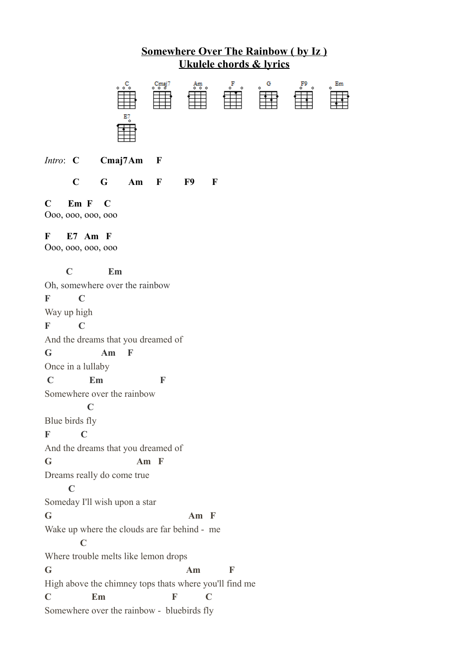

*Intro*: **C Cmaj7Am F**

**C G Am F F9 F**

## **C Em F C**

Ooo, ooo, ooo, ooo

## **F E7 Am F**

Ooo, ooo, ooo, ooo

## **C Em**

Oh, somewhere over the rainbow **F C** Way up high **F C** And the dreams that you dreamed of **G Am F** Once in a lullaby  **C Em F** Somewhere over the rainbow **C** Blue birds fly **F C** And the dreams that you dreamed of **G Am F** Dreams really do come true **C** Someday I'll wish upon a star **G Am F** Wake up where the clouds are far behind - me **C** Where trouble melts like lemon drops **G Am F** High above the chimney tops thats where you'll find me **C Em F C** Somewhere over the rainbow - bluebirds fly